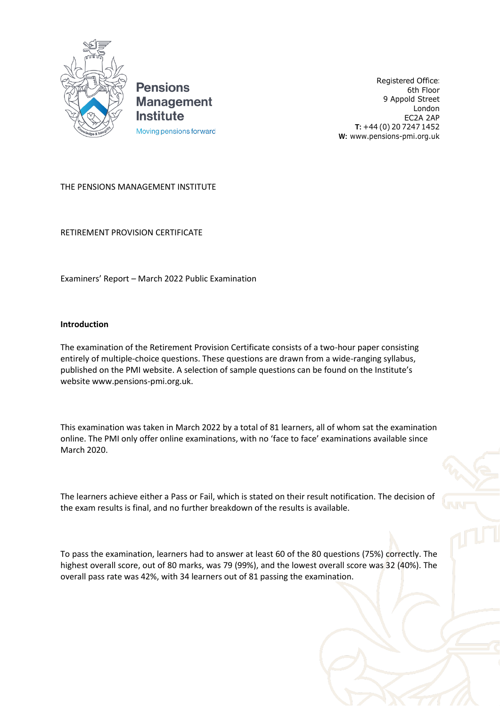

**Pensions Management Institute** Moving pensions forward

Registered Office: 6th Floor 9 Appold Street London EC2A 2AP **T:** +44 (0) 20 7247 1452 **W:** [www.pensions-pmi.org.uk](http://www.pensions-pmi.org.uk/)

## THE PENSIONS MANAGEMENT INSTITUTE

RETIREMENT PROVISION CERTIFICATE

Examiners' Report – March 2022 Public Examination

## **Introduction**

The examination of the Retirement Provision Certificate consists of a two-hour paper consisting entirely of multiple-choice questions. These questions are drawn from a wide-ranging syllabus, published on the PMI website. A selection of sample questions can be found on the Institute's websit[e www.pensions-pmi.org.uk.](http://www.pensions-pmi.org.uk/)

This examination was taken in March 2022 by a total of 81 learners, all of whom sat the examination online. The PMI only offer online examinations, with no 'face to face' examinations available since March 2020.

The learners achieve either a Pass or Fail, which is stated on their result notification. The decision of the exam results is final, and no further breakdown of the results is available.

To pass the examination, learners had to answer at least 60 of the 80 questions (75%) correctly. The highest overall score, out of 80 marks, was 79 (99%), and the lowest overall score was 32 (40%). The overall pass rate was 42%, with 34 learners out of 81 passing the examination.